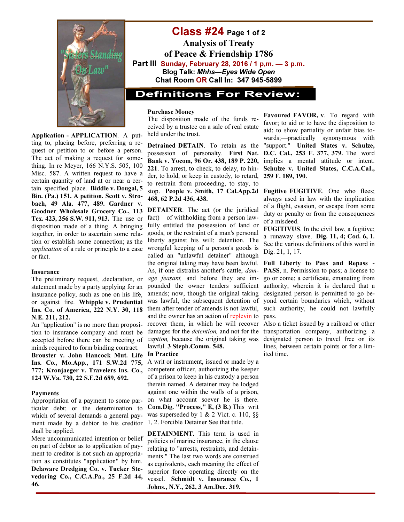

Application - APPLICATION. A putting to, placing before, preferring a request or petition to or before a person. The act of making a request for something. In re Meyer, 166 N.Y.S. 505, 100 Misc. 587. A written request to have a certain quantity of land at or near a certain specified place. Biddle v. Dougal, 5 Bin. (Pa.) 151. A petition. Scott v. Strobach, 49 Ala. 477, 489. Gardner v. Goodner Wholesale Grocery Co., 113 Tex. 423, 256 S.W. 911, 913. The use or disposition made of a thing. A bringing together, in order to ascertain some relation or establish some connection; as the application of a rule or principle to a case or fact.

### Insurance

The preliminary request, .declaration, or statement made by a party applying for an insurance policy, such as one on his life, or against fire. Whipple v. Prudential Ins. Co. of America, 222 N.Y. 30, 118 N.E. 211, 212.

An "application" is no more than proposition to insurance company and must be accepted before there can be meeting of minds required to form binding contract. Brouster v. John Hancock Mut. Life Ins. Co., Mo.App., 171 S.W.2d 775, 777; Kronjaeger v. Travelers Ins. Co., 124 W.Va. 730, 22 S.E.2d 689, 692.

#### Payments

Appropriation of a payment to some particular debt; or the determination to which of several demands a general payment made by a debtor to his creditor shall be applied.

Mere uncommunicated intention or belief on part of debtor as to application of payment to creditor is not such an appropriation as constitutes "application" by him. Delaware Dredging Co. v. Tucker Stevedoring Co., C.C.A.Pa., 25 F.2d 44, 46.

Class #24 Page 1 of 2 Analysis of Treaty of Peace & Friendship 1786 Part III Sunday, February 28, 2016 / 1 p,m. — 3 p.m. Blog Talk: Mhhs—Eyes Wide Open Chat Room OR Call In: 347 945-5899

## **Definitions For Review:**

#### Purchase Money

The disposition made of the funds received by a trustee on a sale of real estate held under the trust.

Detrained DETAIN. To retain as the possession of personalty. First Nat. Bank v. Yocom, 96 Or. 438, 189 P. 220, 221. To arrest, to check, to delay, to hinder, to hold, or keep in custody, to retard, to restrain from proceeding, to stay, to stop. People v. Smith, 17 Cal.App.2d 468, 62 P.2d 436, 438.

DETAINER. The act (or the juridical fact) – of withholding from a person lawfully entitled the possession of land or goods, or the restraint of a man's personal liberty against his will; detention. The wrongful keeping of a person's goods is called an "unlawful detainer" although the original taking may have been lawful. As, if one distrains another's cattle, damage feasant, and before they are impounded the owner tenders sufficient amends; now, though the original taking was lawful, the subsequent detention of them after tender of amends is not lawful, and the owner has an action of replevin to recover them, in which he will recover damages for the detention, and not for the caption, because the original taking was lawful. 3 Steph.Comm. 548.

#### In Practice

A writ or instrument, issued or made by a competent officer, authorizing the keeper of a prison to keep in his custody a person therein named. A detainer may be lodged against one within the walls of a prison, on what account soever he is there. Com.Dig. "Process," E, (3 B.) This writ was superseded by 1 & 2 Vict. c. 110, §§ 1, 2. Forcible Detainer See that title.

DETAINMENT. This term is used in policies of marine insurance, in the clause relating to "arrests, restraints, and detainments." The last two words are construed as equivalents, each meaning the effect of superior force operating directly on the vessel. Schmidt v. Insurance Co., 1 Johns., N.Y., 262, 3 Am.Dec. 319.

Favoured FAVOR, v. To regard with favor; to aid or to have the disposition to aid; to show partiality or unfair bias towards;—practically synonymous with "support." United States v. Schulze, D.C. Cal., 253 F. 377, 379. The word implies a mental attitude or intent. Schulze v. United States, C.C.A.CaI., 259 F. 189, 190.

Fugitive FUGITIVE. One who flees; always used in law with the implication of a flight, evasion, or escape from some duty or penalty or from the consequences of a misdeed.

FUGITIVUS. In the civil law, a fugitive; a runaway slave. Dig. 11, 4; Cod. 6, 1. See the various definitions of this word in Dig. 21, 1, 17.

Full Liberty to Pass and Repass - PASS, n. Permission to pass; a license to go or come; a certificate, emanating from authority, wherein it is declared that a designated person is permitted to go beyond certain boundaries which, without such authority, he could not lawfully pass.

Also a ticket issued by a railroad or other transportation company, authorizing a designated person to travel free on its lines, between certain points or for a limited time.